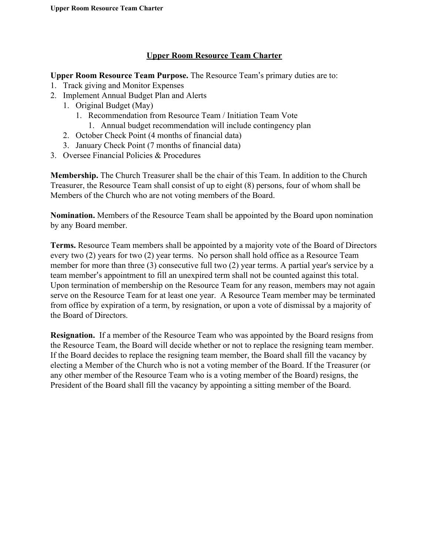#### **Upper Room Resource Team Charter**

**Upper Room Resource Team Purpose.** The Resource Team's primary duties are to:

- 1. Track giving and Monitor Expenses
- 2. Implement Annual Budget Plan and Alerts
	- 1. Original Budget (May)
		- 1. Recommendation from Resource Team / Initiation Team Vote
		- 1. Annual budget recommendation will include contingency plan
	- 2. October Check Point (4 months of financial data)
	- 3. January Check Point (7 months of financial data)
- 3. Oversee Financial Policies & Procedures

**Membership.** The Church Treasurer shall be the chair of this Team. In addition to the Church Treasurer, the Resource Team shall consist of up to eight (8) persons, four of whom shall be Members of the Church who are not voting members of the Board.

**Nomination.** Members of the Resource Team shall be appointed by the Board upon nomination by any Board member.

**Terms.** Resource Team members shall be appointed by a majority vote of the Board of Directors every two (2) years for two (2) year terms. No person shall hold office as a Resource Team member for more than three (3) consecutive full two (2) year terms. A partial year's service by a team member's appointment to fill an unexpired term shall not be counted against this total. Upon termination of membership on the Resource Team for any reason, members may not again serve on the Resource Team for at least one year. A Resource Team member may be terminated from office by expiration of a term, by resignation, or upon a vote of dismissal by a majority of the Board of Directors.

**Resignation.** If a member of the Resource Team who was appointed by the Board resigns from the Resource Team, the Board will decide whether or not to replace the resigning team member. If the Board decides to replace the resigning team member, the Board shall fill the vacancy by electing a Member of the Church who is not a voting member of the Board. If the Treasurer (or any other member of the Resource Team who is a voting member of the Board) resigns, the President of the Board shall fill the vacancy by appointing a sitting member of the Board.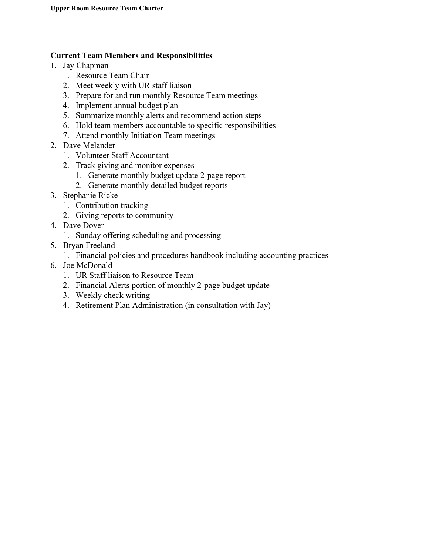#### **Current Team Members and Responsibilities**

- 1. Jay Chapman
	- 1. Resource Team Chair
	- 2. Meet weekly with UR staff liaison
	- 3. Prepare for and run monthly Resource Team meetings
	- 4. Implement annual budget plan
	- 5. Summarize monthly alerts and recommend action steps
	- 6. Hold team members accountable to specific responsibilities
	- 7. Attend monthly Initiation Team meetings
- 2. Dave Melander
	- 1. Volunteer Staff Accountant
	- 2. Track giving and monitor expenses
		- 1. Generate monthly budget update 2-page report
		- 2. Generate monthly detailed budget reports
- 3. Stephanie Ricke
	- 1. Contribution tracking
	- 2. Giving reports to community
- 4. Dave Dover
	- 1. Sunday offering scheduling and processing
- 5. Bryan Freeland
	- 1. Financial policies and procedures handbook including accounting practices
- 6. Joe McDonald
	- 1. UR Staff liaison to Resource Team
	- 2. Financial Alerts portion of monthly 2-page budget update
	- 3. Weekly check writing
	- 4. Retirement Plan Administration (in consultation with Jay)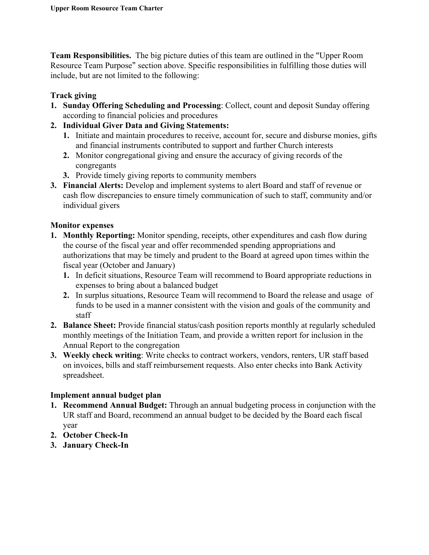**Team Responsibilities.**  The big picture duties of this team are outlined in the "Upper Room Resource Team Purpose" section above. Specific responsibilities in fulfilling those duties will include, but are not limited to the following:

## **Track giving**

- **1. Sunday Offering Scheduling and Processing**: Collect, count and deposit Sunday offering according to financial policies and procedures
- **2. Individual Giver Data and Giving Statements:**
	- **1.** Initiate and maintain procedures to receive, account for, secure and disburse monies, gifts and financial instruments contributed to support and further Church interests
	- **2.** Monitor congregational giving and ensure the accuracy of giving records of the congregants
	- **3.** Provide timely giving reports to community members
- **3. Financial Alerts:** Develop and implement systems to alert Board and staff of revenue or cash flow discrepancies to ensure timely communication of such to staff, community and/or individual givers

## **Monitor expenses**

- **1. Monthly Reporting:** Monitor spending, receipts, other expenditures and cash flow during the course of the fiscal year and offer recommended spending appropriations and authorizations that may be timely and prudent to the Board at agreed upon times within the fiscal year (October and January)
	- **1.** In deficit situations, Resource Team will recommend to Board appropriate reductions in expenses to bring about a balanced budget
	- **2.** In surplus situations, Resource Team will recommend to Board the release and usage of funds to be used in a manner consistent with the vision and goals of the community and staff
- **2. Balance Sheet:** Provide financial status/cash position reports monthly at regularly scheduled monthly meetings of the Initiation Team, and provide a written report for inclusion in the Annual Report to the congregation
- **3. Weekly check writing**: Write checks to contract workers, vendors, renters, UR staff based on invoices, bills and staff reimbursement requests. Also enter checks into Bank Activity spreadsheet.

# **Implement annual budget plan**

- **1. Recommend Annual Budget:** Through an annual budgeting process in conjunction with the UR staff and Board, recommend an annual budget to be decided by the Board each fiscal year
- **2. October Check-In**
- **3. January Check-In**